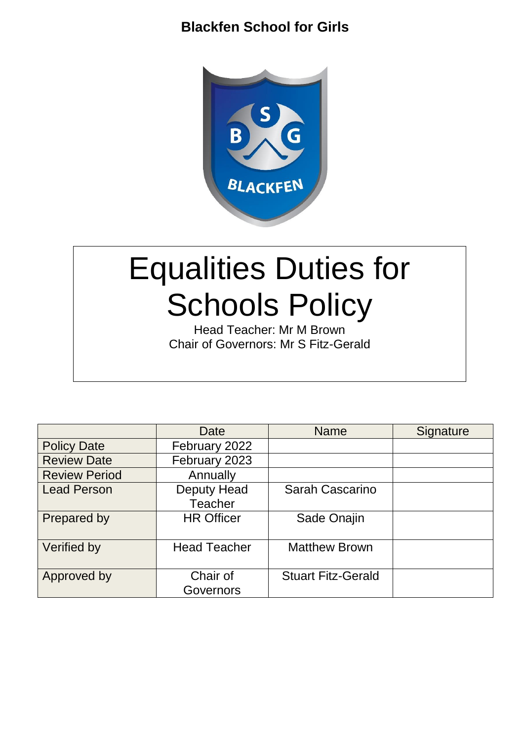

# Equalities Duties for Schools Policy

Head Teacher: Mr M Brown Chair of Governors: Mr S Fitz-Gerald

|                      | Date                          | <b>Name</b>               | Signature |
|----------------------|-------------------------------|---------------------------|-----------|
| <b>Policy Date</b>   | February 2022                 |                           |           |
| <b>Review Date</b>   | February 2023                 |                           |           |
| <b>Review Period</b> | Annually                      |                           |           |
| <b>Lead Person</b>   | Deputy Head<br><b>Teacher</b> | Sarah Cascarino           |           |
| Prepared by          | <b>HR Officer</b>             | Sade Onajin               |           |
| Verified by          | <b>Head Teacher</b>           | <b>Matthew Brown</b>      |           |
| Approved by          | Chair of<br>Governors         | <b>Stuart Fitz-Gerald</b> |           |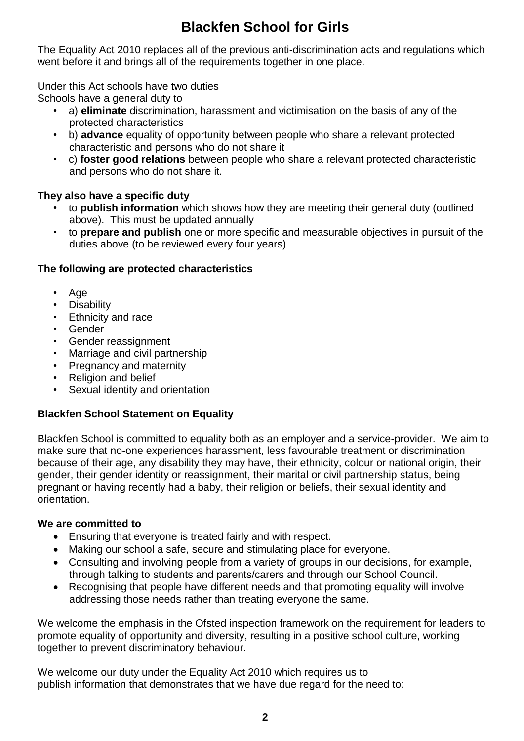The Equality Act 2010 replaces all of the previous anti-discrimination acts and regulations which went before it and brings all of the requirements together in one place.

## Under this Act schools have two duties

Schools have a general duty to

- a) **eliminate** discrimination, harassment and victimisation on the basis of any of the protected characteristics
- b) **advance** equality of opportunity between people who share a relevant protected characteristic and persons who do not share it
- c) **foster good relations** between people who share a relevant protected characteristic and persons who do not share it.

## **They also have a specific duty**

- to **publish information** which shows how they are meeting their general duty (outlined above). This must be updated annually
- to **prepare and publish** one or more specific and measurable objectives in pursuit of the duties above (to be reviewed every four years)

## **The following are protected characteristics**

- Age
- **Disability**
- Ethnicity and race
- Gender
- Gender reassignment
- Marriage and civil partnership
- Pregnancy and maternity
- Religion and belief
- Sexual identity and orientation

## **Blackfen School Statement on Equality**

Blackfen School is committed to equality both as an employer and a service-provider. We aim to make sure that no-one experiences harassment, less favourable treatment or discrimination because of their age, any disability they may have, their ethnicity, colour or national origin, their gender, their gender identity or reassignment, their marital or civil partnership status, being pregnant or having recently had a baby, their religion or beliefs, their sexual identity and orientation.

## **We are committed to**

- Ensuring that everyone is treated fairly and with respect.
- Making our school a safe, secure and stimulating place for everyone.
- Consulting and involving people from a variety of groups in our decisions, for example, through talking to students and parents/carers and through our School Council.
- Recognising that people have different needs and that promoting equality will involve addressing those needs rather than treating everyone the same.

We welcome the emphasis in the Ofsted inspection framework on the requirement for leaders to promote equality of opportunity and diversity, resulting in a positive school culture, working together to prevent discriminatory behaviour.

We welcome our duty under the Equality Act 2010 which requires us to publish information that demonstrates that we have due regard for the need to: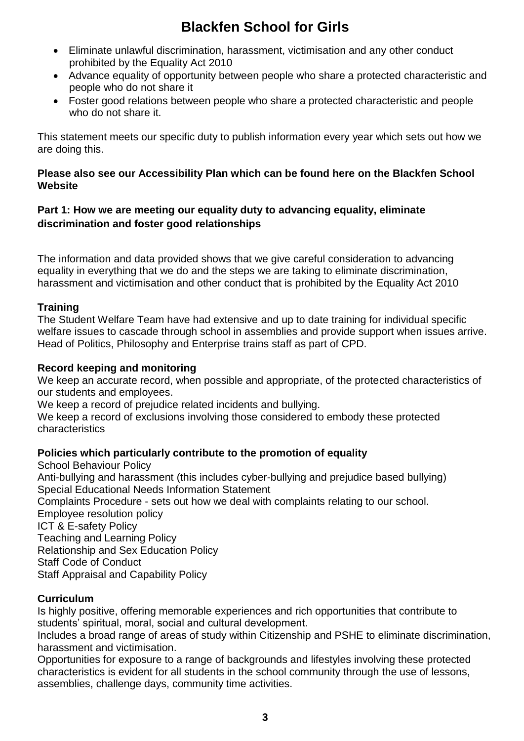- Eliminate unlawful discrimination, harassment, victimisation and any other conduct prohibited by the Equality Act 2010
- Advance equality of opportunity between people who share a protected characteristic and people who do not share it
- Foster good relations between people who share a protected characteristic and people who do not share it.

This statement meets our specific duty to publish information every year which sets out how we are doing this.

## **Please also see our Accessibility Plan which can be found here on the Blackfen School Website**

## **Part 1: How we are meeting our equality duty to advancing equality, eliminate discrimination and foster good relationships**

The information and data provided shows that we give careful consideration to advancing equality in everything that we do and the steps we are taking to eliminate discrimination, harassment and victimisation and other conduct that is prohibited by the Equality Act 2010

## **Training**

The Student Welfare Team have had extensive and up to date training for individual specific welfare issues to cascade through school in assemblies and provide support when issues arrive. Head of Politics, Philosophy and Enterprise trains staff as part of CPD.

#### **Record keeping and monitoring**

We keep an accurate record, when possible and appropriate, of the protected characteristics of our students and employees.

We keep a record of prejudice related incidents and bullying.

We keep a record of exclusions involving those considered to embody these protected characteristics

## **Policies which particularly contribute to the promotion of equality**

School Behaviour Policy Anti-bullying and harassment (this includes cyber-bullying and prejudice based bullying) Special Educational Needs Information Statement Complaints Procedure - sets out how we deal with complaints relating to our school. Employee resolution policy ICT & E-safety Policy Teaching and Learning Policy Relationship and Sex Education Policy Staff Code of Conduct Staff Appraisal and Capability Policy

## **Curriculum**

Is highly positive, offering memorable experiences and rich opportunities that contribute to students' spiritual, moral, social and cultural development.

Includes a broad range of areas of study within Citizenship and PSHE to eliminate discrimination, harassment and victimisation.

Opportunities for exposure to a range of backgrounds and lifestyles involving these protected characteristics is evident for all students in the school community through the use of lessons, assemblies, challenge days, community time activities.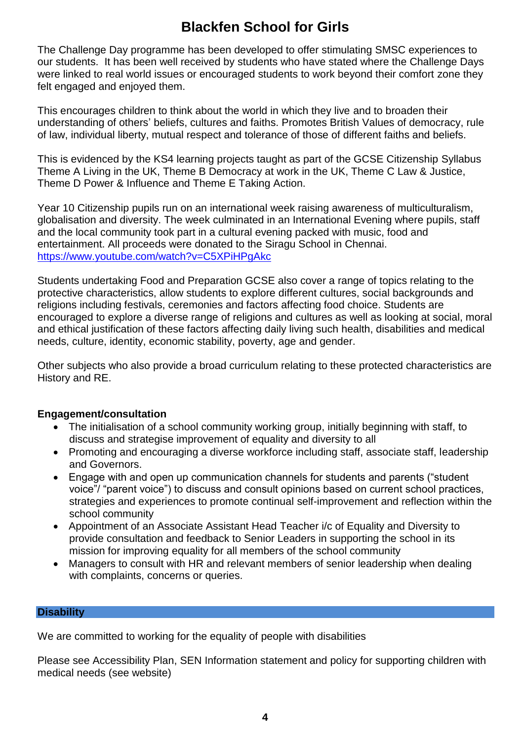The Challenge Day programme has been developed to offer stimulating SMSC experiences to our students. It has been well received by students who have stated where the Challenge Days were linked to real world issues or encouraged students to work beyond their comfort zone they felt engaged and enjoyed them.

This encourages children to think about the world in which they live and to broaden their understanding of others' beliefs, cultures and faiths. Promotes British Values of democracy, rule of law, individual liberty, mutual respect and tolerance of those of different faiths and beliefs.

This is evidenced by the KS4 learning projects taught as part of the GCSE Citizenship Syllabus Theme A Living in the UK, Theme B Democracy at work in the UK, Theme C Law & Justice, Theme D Power & Influence and Theme E Taking Action.

Year 10 Citizenship pupils run on an international week raising awareness of multiculturalism, globalisation and diversity. The week culminated in an International Evening where pupils, staff and the local community took part in a cultural evening packed with music, food and entertainment. All proceeds were donated to the Siragu School in Chennai. <https://www.youtube.com/watch?v=C5XPiHPgAkc>

Students undertaking Food and Preparation GCSE also cover a range of topics relating to the protective characteristics, allow students to explore different cultures, social backgrounds and religions including festivals, ceremonies and factors affecting food choice. Students are encouraged to explore a diverse range of religions and cultures as well as looking at social, moral and ethical justification of these factors affecting daily living such health, disabilities and medical needs, culture, identity, economic stability, poverty, age and gender.

Other subjects who also provide a broad curriculum relating to these protected characteristics are History and RE.

## **Engagement/consultation**

- The initialisation of a school community working group, initially beginning with staff, to discuss and strategise improvement of equality and diversity to all
- Promoting and encouraging a diverse workforce including staff, associate staff, leadership and Governors.
- Engage with and open up communication channels for students and parents ("student voice"/ "parent voice") to discuss and consult opinions based on current school practices, strategies and experiences to promote continual self-improvement and reflection within the school community
- Appointment of an Associate Assistant Head Teacher i/c of Equality and Diversity to provide consultation and feedback to Senior Leaders in supporting the school in its mission for improving equality for all members of the school community
- Managers to consult with HR and relevant members of senior leadership when dealing with complaints, concerns or queries.

#### **Disability**

We are committed to working for the equality of people with disabilities

Please see Accessibility Plan, SEN Information statement and policy for supporting children with medical needs (see website)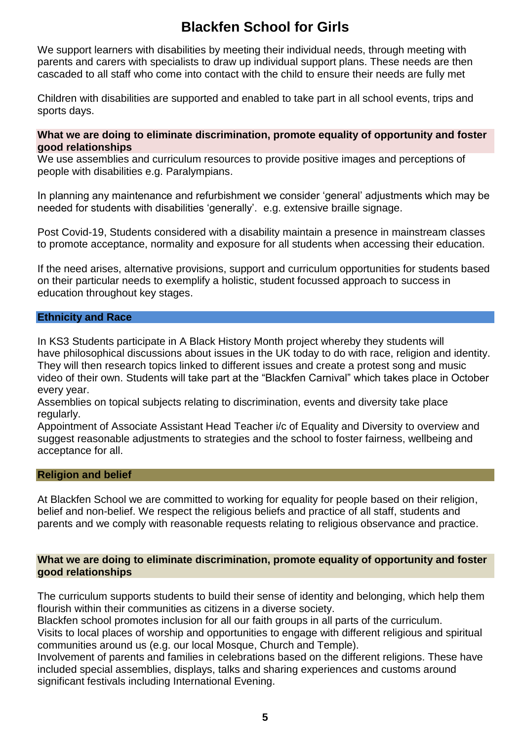We support learners with disabilities by meeting their individual needs, through meeting with parents and carers with specialists to draw up individual support plans. These needs are then cascaded to all staff who come into contact with the child to ensure their needs are fully met

Children with disabilities are supported and enabled to take part in all school events, trips and sports days.

#### **What we are doing to eliminate discrimination, promote equality of opportunity and foster good relationships**

We use assemblies and curriculum resources to provide positive images and perceptions of people with disabilities e.g. Paralympians.

In planning any maintenance and refurbishment we consider 'general' adjustments which may be needed for students with disabilities 'generally'. e.g. extensive braille signage.

Post Covid-19, Students considered with a disability maintain a presence in mainstream classes to promote acceptance, normality and exposure for all students when accessing their education.

If the need arises, alternative provisions, support and curriculum opportunities for students based on their particular needs to exemplify a holistic, student focussed approach to success in education throughout key stages.

#### **Ethnicity and Race**

In KS3 Students participate in A Black History Month project whereby they students will have philosophical discussions about issues in the UK today to do with race, religion and identity. They will then research topics linked to different issues and create a protest song and music video of their own. Students will take part at the "Blackfen Carnival" which takes place in October every year.

Assemblies on topical subjects relating to discrimination, events and diversity take place regularly.

Appointment of Associate Assistant Head Teacher i/c of Equality and Diversity to overview and suggest reasonable adjustments to strategies and the school to foster fairness, wellbeing and acceptance for all.

#### **Religion and belief**

At Blackfen School we are committed to working for equality for people based on their religion, belief and non-belief. We respect the religious beliefs and practice of all staff, students and parents and we comply with reasonable requests relating to religious observance and practice.

#### **What we are doing to eliminate discrimination, promote equality of opportunity and foster good relationships**

The curriculum supports students to build their sense of identity and belonging, which help them flourish within their communities as citizens in a diverse society.

Blackfen school promotes inclusion for all our faith groups in all parts of the curriculum.

Visits to local places of worship and opportunities to engage with different religious and spiritual communities around us (e.g. our local Mosque, Church and Temple).

Involvement of parents and families in celebrations based on the different religions. These have included special assemblies, displays, talks and sharing experiences and customs around significant festivals including International Evening.